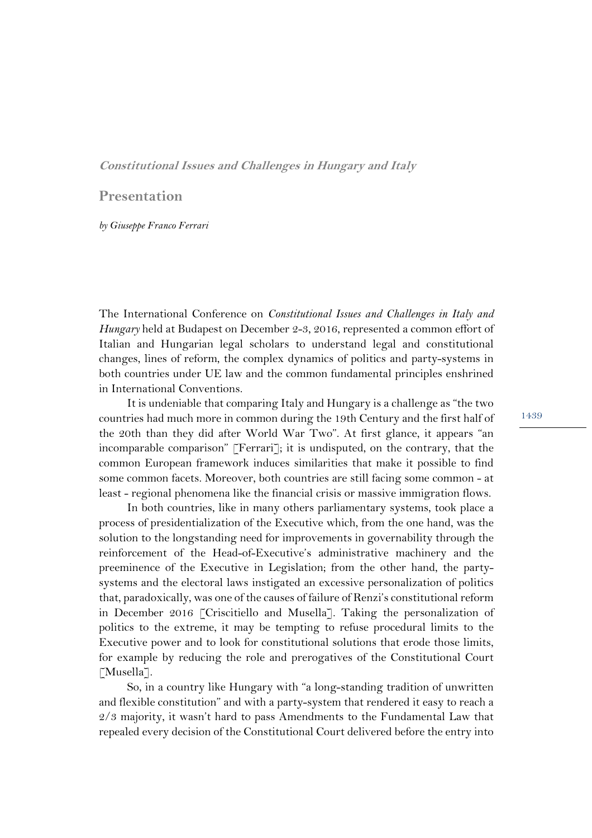## **Constitutional Issues and Challenges in Hungary and Italy**

## **Presentation**

## *by Giuseppe Franco Ferrari*

The International Conference on *Constitutional Issues and Challenges in Italy and Hungary* held at Budapest on December 2-3, 2016, represented a common effort of Italian and Hungarian legal scholars to understand legal and constitutional changes, lines of reform, the complex dynamics of politics and party-systems in both countries under UE law and the common fundamental principles enshrined in International Conventions.

It is undeniable that comparing Italy and Hungary is a challenge as "the two countries had much more in common during the 19th Century and the first half of the 20th than they did after World War Two". At first glance, it appears "an incomparable comparison" [Ferrari]; it is undisputed, on the contrary, that the common European framework induces similarities that make it possible to find some common facets. Moreover, both countries are still facing some common - at least - regional phenomena like the financial crisis or massive immigration flows.

In both countries, like in many others parliamentary systems, took place a process of presidentialization of the Executive which, from the one hand, was the solution to the longstanding need for improvements in governability through the reinforcement of the Head-of-Executive's administrative machinery and the preeminence of the Executive in Legislation; from the other hand, the partysystems and the electoral laws instigated an excessive personalization of politics that, paradoxically, was one of the causes of failure of Renzi's constitutionalreform in December 2016 [Criscitiello and Musella]. Taking the personalization of politics to the extreme, it may be tempting to refuse procedural limits to the Executive power and to look for constitutional solutions that erode those limits, for example by reducing the role and prerogatives of the Constitutional Court [Musella].

So, in a country like Hungary with "a long-standing tradition of unwritten and flexible constitution" and with a party-system that rendered it easy to reach a 2/3 majority, it wasn't hard to pass Amendments to the Fundamental Law that repealed every decision of the Constitutional Court delivered before the entry into

1439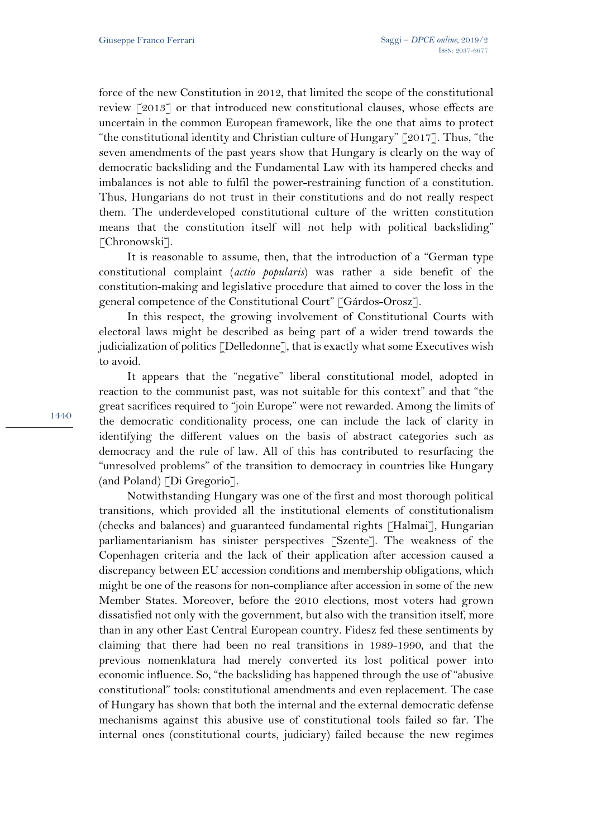force of the new Constitution in 2012, that limited the scope of the constitutional review [2013] or that introduced new constitutional clauses, whose effects are uncertain in the common European framework, like the one that aims to protect "the constitutional identity and Christian culture of Hungary" [2017]. Thus, "the seven amendments of the past years show that Hungary is clearly on the way of democratic backsliding and the Fundamental Law with its hampered checks and imbalances is not able to fulfil the power-restraining function of a constitution. Thus, Hungarians do not trust in their constitutions and do not really respect them. The underdeveloped constitutional culture of the written constitution means that the constitution itself will not help with political backsliding" [Chronowski].

It is reasonable to assume, then, that the introduction of a "German type constitutional complaint (*actio popularis*) was rather a side benefit of the constitution-making and legislative procedure that aimed to cover the loss in the general competence of the Constitutional Court" [Gárdos-Orosz].

In this respect, the growing involvement of Constitutional Courts with electoral laws might be described as being part of a wider trend towards the judicialization of politics [Delledonne], that is exactly what some Executives wish to avoid.

It appears that the "negative" liberal constitutional model, adopted in reaction to the communist past, was not suitable for this context" and that "the great sacrifices required to "join Europe" were not rewarded. Among the limits of the democratic conditionality process, one can include the lack of clarity in identifying the different values on the basis of abstract categories such as democracy and the rule of law. All of this has contributed to resurfacing the "unresolved problems" of the transition to democracy in countries like Hungary (and Poland) [Di Gregorio].

Notwithstanding Hungary was one of the first and most thorough political transitions, which provided all the institutional elements of constitutionalism (checks and balances) and guaranteed fundamental rights [Halmai], Hungarian parliamentarianism has sinister perspectives [Szente]. The weakness of the Copenhagen criteria and the lack of their application after accession caused a discrepancy between EU accession conditions and membership obligations, which might be one of the reasons for non-compliance after accession in some of the new Member States. Moreover, before the 2010 elections, most voters had grown dissatisfied not only with the government, but also with the transition itself, more than in any other East Central European country. Fidesz fed these sentiments by claiming that there had been no real transitions in 1989-1990, and that the previous nomenklatura had merely converted its lost political power into economic influence. So, "the backsliding has happened through the use of "abusive constitutional" tools: constitutional amendments and even replacement. The case of Hungary has shown that both the internal and the external democratic defense mechanisms against this abusive use of constitutional tools failed so far. The internal ones (constitutional courts, judiciary) failed because the new regimes

1440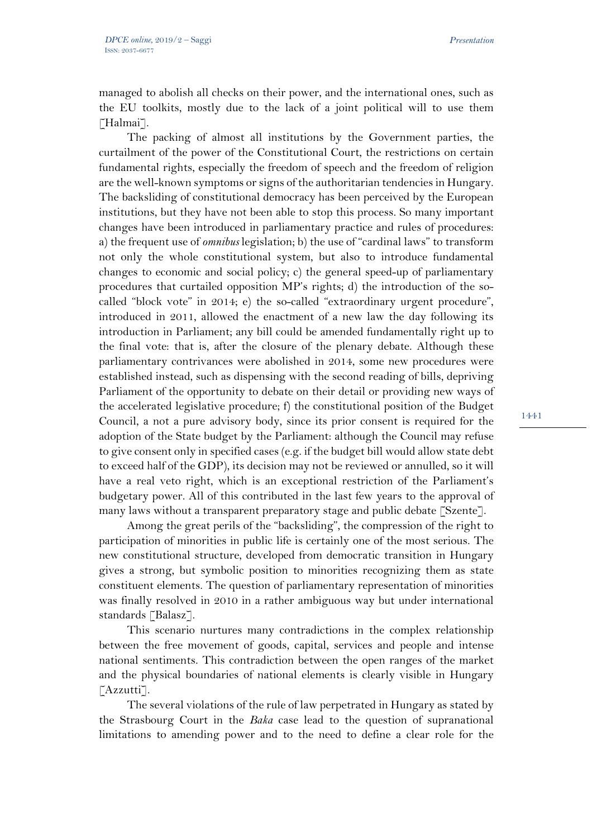managed to abolish all checks on their power, and the international ones, such as the EU toolkits, mostly due to the lack of a joint political will to use them [Halmai].

The packing of almost all institutions by the Government parties, the curtailment of the power of the Constitutional Court, the restrictions on certain fundamental rights, especially the freedom of speech and the freedom of religion are the well-known symptoms orsigns of the authoritarian tendenciesin Hungary. The backsliding of constitutional democracy has been perceived by the European institutions, but they have not been able to stop this process. So many important changes have been introduced in parliamentary practice and rules of procedures: a) the frequent use of *omnibus* legislation; b) the use of "cardinal laws" to transform not only the whole constitutional system, but also to introduce fundamental changes to economic and social policy; c) the general speed-up of parliamentary procedures that curtailed opposition MP's rights; d) the introduction of the socalled "block vote" in 2014; e) the so-called "extraordinary urgent procedure", introduced in 2011, allowed the enactment of a new law the day following its introduction in Parliament; any bill could be amended fundamentally right up to the final vote: that is, after the closure of the plenary debate. Although these parliamentary contrivances were abolished in 2014, some new procedures were established instead, such as dispensing with the second reading of bills, depriving Parliament of the opportunity to debate on their detail or providing new ways of the accelerated legislative procedure; f) the constitutional position of the Budget Council, a not a pure advisory body, since its prior consent is required for the adoption of the State budget by the Parliament: although the Council may refuse to give consent only in specified cases (e.g. if the budget bill would allow state debt to exceed half of the GDP), its decision may not be reviewed or annulled, so it will have a real veto right, which is an exceptional restriction of the Parliament's budgetary power. All of this contributed in the last few years to the approval of many laws without a transparent preparatory stage and public debate [Szente].

Among the great perils of the "backsliding", the compression of the right to participation of minorities in public life is certainly one of the most serious. The new constitutional structure, developed from democratic transition in Hungary gives a strong, but symbolic position to minorities recognizing them as state constituent elements. The question of parliamentary representation of minorities was finally resolved in 2010 in a rather ambiguous way but under international standards [Balasz].

This scenario nurtures many contradictions in the complex relationship between the free movement of goods, capital, services and people and intense national sentiments. This contradiction between the open ranges of the market and the physical boundaries of national elements is clearly visible in Hungary [Azzutti].

The several violations of the rule of law perpetrated in Hungary as stated by the Strasbourg Court in the *Baka* case lead to the question of supranational limitations to amending power and to the need to define a clear role for the